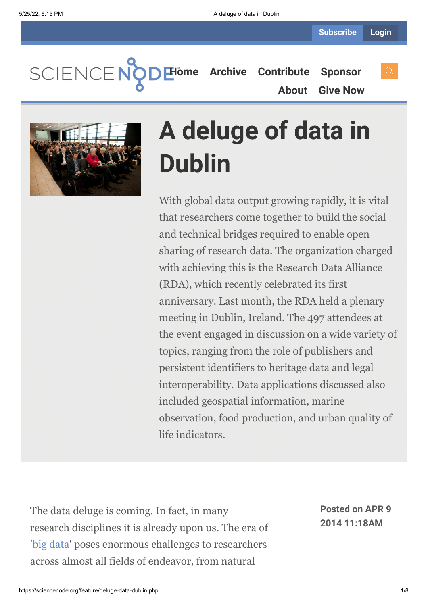SCIENCEN

**[Home](https://sciencenode.org/) [Archive](https://sciencenode.org/archive/index.php) [Contribute](https://sciencenode.org/contribute/index.php) [Sponsor](https://sciencenode.org/sponsor/index.php) [About](https://sciencenode.org/about/index.php) [Give Now](https://sciencenode.org/donate/index.php)**



# **A deluge of data in Dublin**

With global data output growing rapidly, it is vital that researchers come together to build the social and technical bridges required to enable open sharing of research data. The organization charged with achieving this is the Research Data Alliance (RDA), which recently celebrated its first anniversary. Last month, the RDA held a plenary meeting in Dublin, Ireland. The 497 attendees at the event engaged in discussion on a wide variety of topics, ranging from the role of publishers and persistent identifiers to heritage data and legal interoperability. Data applications discussed also included geospatial information, marine observation, food production, and urban quality of life indicators.

The data deluge is coming. In fact, in many research disciplines it is already upon us. The era of '[big data](http://www.isgtw.org/topics/big%20data)' poses enormous challenges to researchers across almost all fields of endeavor, from natural

**Posted on APR 9 2014 11:18AM**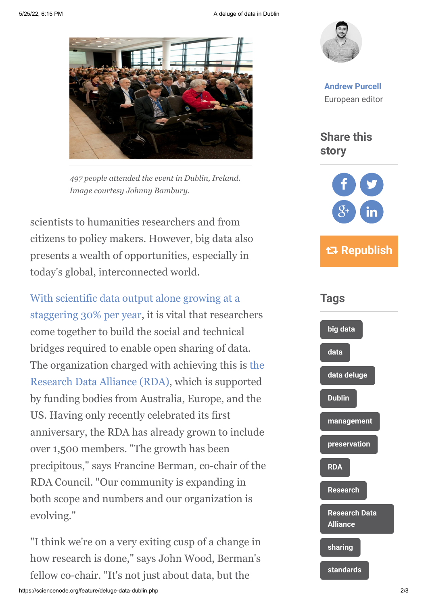5/25/22, 6:15 PM **A deluge of data in Dublin** 



*497 people attended the event in Dublin, Ireland. Image courtesy Johnny Bambury.*

scientists to humanities researchers and from citizens to policy makers. However, big data also presents a wealth of opportunities, especially in today's global, interconnected world.

[With scientific data output alone growing at a](http://www.rdmag.com/digital-editions/2012/12/2013-r-d-magazine-global-funding-forecast) staggering 30% per year, it is vital that researchers come together to build the social and technical bridges required to enable open sharing of data. [The organization charged with achieving this is the](https://rd-alliance.org/) Research Data Alliance (RDA), which is supported by funding bodies from Australia, Europe, and the US. Having only recently celebrated its first anniversary, the RDA has already grown to include over 1,500 members. "The growth has been precipitous," says Francine Berman, co-chair of the RDA Council. "Our community is expanding in both scope and numbers and our organization is evolving."

"I think we're on a very exiting cusp of a change in how research is done," says John Wood, Berman's fellow co-chair. "It's not just about data, but the



**[Andrew Purcell](https://sciencenode.org/author/andrew-purcell.php)** European editor

**Share this story**



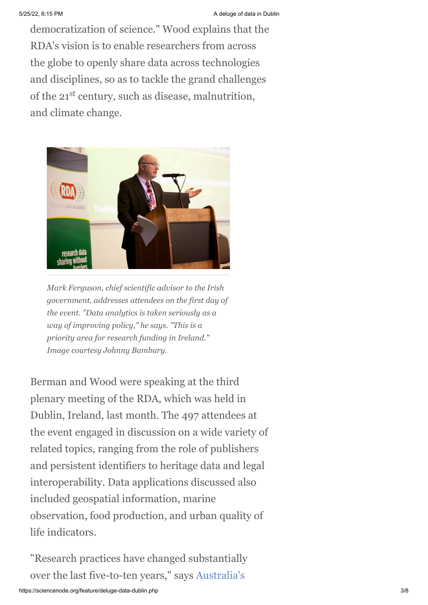democratization of science." Wood explains that the RDA's vision is to enable researchers from across the globe to openly share data across technologies and disciplines, so as to tackle the grand challenges of the 21<sup>st</sup> century, such as disease, malnutrition, and climate change.



*Mark Ferguson, chief scientific advisor to the Irish government, addresses attendees on the first day of the event. "Data analytics is taken seriously as a way of improving policy," he says. "This is a priority area for research funding in Ireland." Image courtesy Johnny Bambury.*

Berman and Wood were speaking at the third plenary meeting of the RDA, which was held in Dublin, Ireland, last month. The 497 attendees at the event engaged in discussion on a wide variety of related topics, ranging from the role of publishers and persistent identifiers to heritage data and legal interoperability. Data applications discussed also included geospatial information, marine observation, food production, and urban quality of life indicators.

"Research practices have changed substantially [over the last five-to-ten years," says Australia's](http://www.chiefscientist.gov.au/)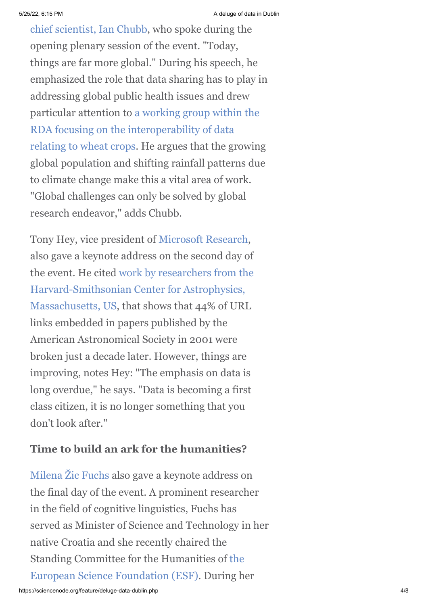[chief scientist, Ian Chubb, who spoke during th](http://www.chiefscientist.gov.au/)e opening plenary session of the event. "Today, things are far more global." During his speech, he emphasized the role that data sharing has to play in addressing global public health issues and drew particular attention to a working group within the RDA focusing on the interoperability of data [relating to wheat crops. He argues that the growin](https://rd-alliance.org/working-groups/wheat-data-interoperability-wg.html)g global population and shifting rainfall patterns due to climate change make this a vital area of work. "Global challenges can only be solved by global research endeavor," adds Chubb.

Tony Hey, vice president of [Microsoft Research](http://en.wikipedia.org/wiki/Microsoft_Research), also gave a keynote address on the second day of [the event. He cited work by researchers from the](https://authorea.com/users/3/articles/288/_show_article) Harvard-Smithsonian Center for Astrophysics, Massachusetts, US, that shows that 44% of URL links embedded in papers published by the American Astronomical Society in 2001 were broken just a decade later. However, things are improving, notes Hey: "The emphasis on data is long overdue," he says. "Data is becoming a first class citizen, it is no longer something that you don't look after."

### **Time to build an ark for the humanities?**

[Milena Žic Fuchs](https://www.rd-alliance.org/milena-%C5%BEic-fuchs.html) also gave a keynote address on the final day of the event. A prominent researcher in the field of cognitive linguistics, Fuchs has served as Minister of Science and Technology in her native Croatia and she recently chaired the [Standing Committee for the Humanities of the](http://www.esf.org/home.html) European Science Foundation (ESF). During her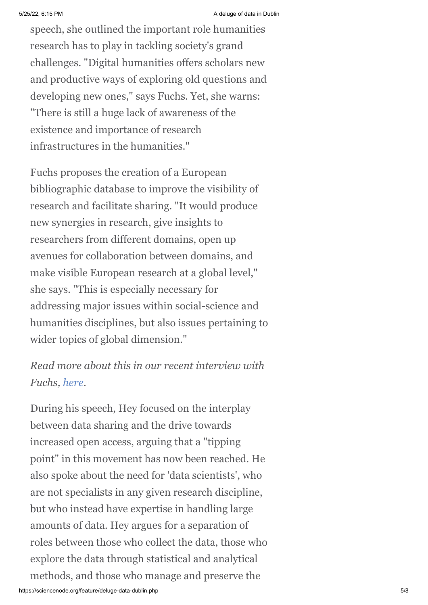speech, she outlined the important role humanities research has to play in tackling society's grand challenges. "Digital humanities offers scholars new and productive ways of exploring old questions and developing new ones," says Fuchs. Yet, she warns: "There is still a huge lack of awareness of the existence and importance of research infrastructures in the humanities."

Fuchs proposes the creation of a European bibliographic database to improve the visibility of research and facilitate sharing. "It would produce new synergies in research, give insights to researchers from different domains, open up avenues for collaboration between domains, and make visible European research at a global level," she says. "This is especially necessary for addressing major issues within social-science and humanities disciplines, but also issues pertaining to wider topics of global dimension."

## *Read more about this in our recent interview with Fuchs, [here](http://www.isgtw.org/feature/digital-humanities-overcoming-barriers-data-sharing).*

During his speech, Hey focused on the interplay between data sharing and the drive towards increased open access, arguing that a "tipping point" in this movement has now been reached. He also spoke about the need for 'data scientists', who are not specialists in any given research discipline, but who instead have expertise in handling large amounts of data. Hey argues for a separation of roles between those who collect the data, those who explore the data through statistical and analytical methods, and those who manage and preserve the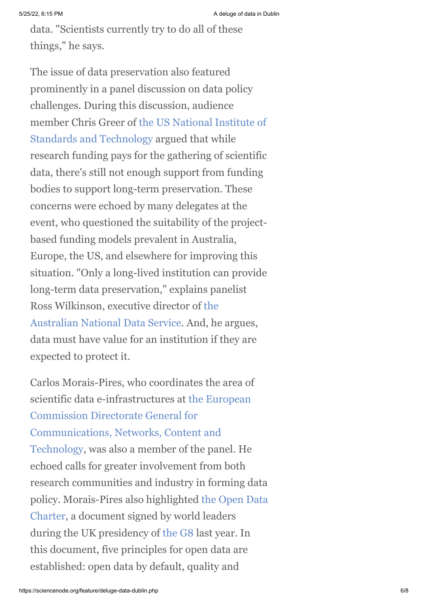data. "Scientists currently try to do all of these things," he says.

The issue of data preservation also featured prominently in a panel discussion on data policy challenges. During this discussion, audience [member Chris Greer of the US National Institute of](http://www.nist.gov/) Standards and Technology argued that while research funding pays for the gathering of scientific data, there's still not enough support from funding bodies to support long-term preservation. These concerns were echoed by many delegates at the event, who questioned the suitability of the projectbased funding models prevalent in Australia, Europe, the US, and elsewhere for improving this situation. "Only a long-lived institution can provide long-term data preservation," explains panelist [Ross Wilkinson, executive director of the](http://www.ands.org.au/) Australian National Data Service. And, he argues, data must have value for an institution if they are expected to protect it.

Carlos Morais-Pires, who coordinates the area of [scientific data e-infrastructures at the European](http://ec.europa.eu/dgs/connect/en/content/dg-connect) Commission Directorate General for Communications, Networks, Content and Technology, was also a member of the panel. He echoed calls for greater involvement from both research communities and industry in forming data [policy. Morais-Pires also highlighted the Open Data](https://www.gov.uk/government/publications/open-data-charter) Charter, a document signed by world leaders during the UK presidency of [the G8](http://en.wikipedia.org/wiki/G8) last year. In this document, five principles for open data are established: open data by default, quality and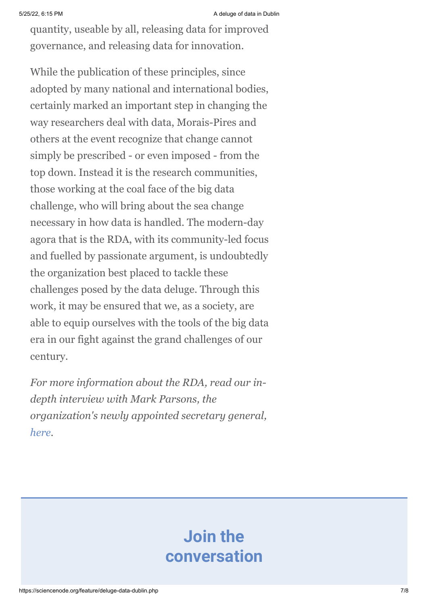quantity, useable by all, releasing data for improved governance, and releasing data for innovation.

While the publication of these principles, since adopted by many national and international bodies, certainly marked an important step in changing the way researchers deal with data, Morais-Pires and others at the event recognize that change cannot simply be prescribed - or even imposed - from the top down. Instead it is the research communities, those working at the coal face of the big data challenge, who will bring about the sea change necessary in how data is handled. The modern-day agora that is the RDA, with its community-led focus and fuelled by passionate argument, is undoubtedly the organization best placed to tackle these challenges posed by the data deluge. Through this work, it may be ensured that we, as a society, are able to equip ourselves with the tools of the big data era in our fight against the grand challenges of our century.

*For more information about the RDA, read our indepth interview with Mark Parsons, the organization's newly appointed secretary general, [here](http://www.isgtw.org/feature/data-without-borders-research-data-alliance).*

# **Join the conversation**